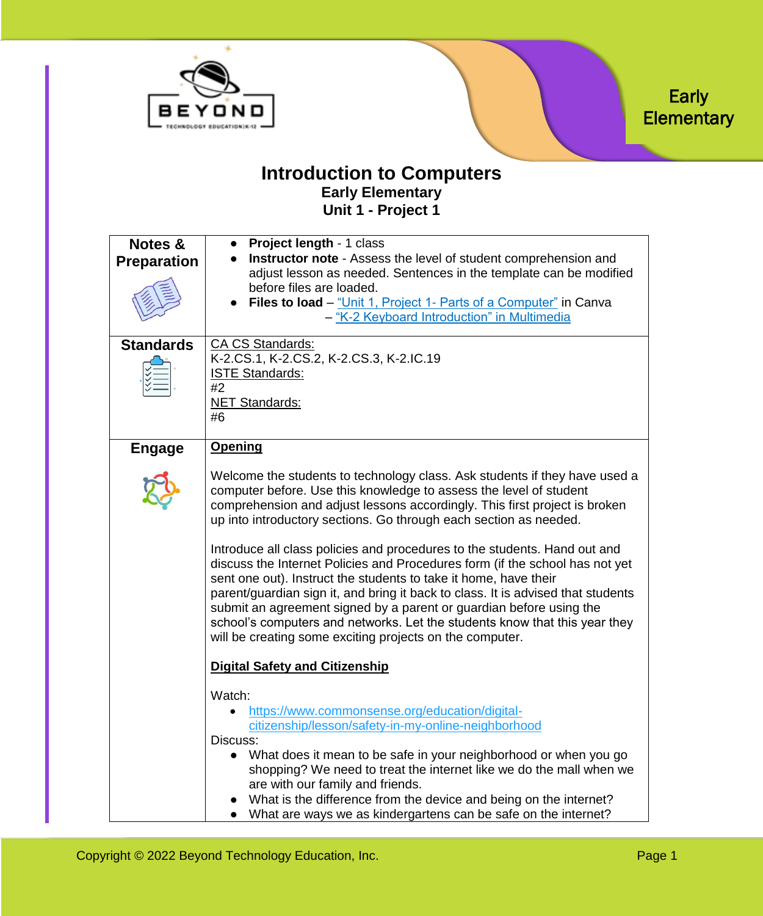



#### **Introduction to Computers Early Elementary Unit 1 - Project 1**

| <b>Notes &amp;</b> | <b>Project length - 1 class</b>                                                  |
|--------------------|----------------------------------------------------------------------------------|
| <b>Preparation</b> | <b>Instructor note - Assess the level of student comprehension and</b>           |
|                    | adjust lesson as needed. Sentences in the template can be modified               |
|                    | before files are loaded.                                                         |
|                    | <b>Files to load</b> – "Unit 1, Project 1- Parts of a Computer" in Canva         |
|                    | - "K-2 Keyboard Introduction" in Multimedia                                      |
|                    |                                                                                  |
| <b>Standards</b>   | CA CS Standards:                                                                 |
|                    | K-2.CS.1, K-2.CS.2, K-2.CS.3, K-2.IC.19                                          |
|                    | <b>ISTE Standards:</b>                                                           |
|                    | #2                                                                               |
|                    | <b>NET Standards:</b>                                                            |
|                    | #6                                                                               |
|                    |                                                                                  |
| <b>Engage</b>      | <b>Opening</b>                                                                   |
|                    |                                                                                  |
|                    | Welcome the students to technology class. Ask students if they have used a       |
|                    | computer before. Use this knowledge to assess the level of student               |
|                    | comprehension and adjust lessons accordingly. This first project is broken       |
|                    | up into introductory sections. Go through each section as needed.                |
|                    |                                                                                  |
|                    | Introduce all class policies and procedures to the students. Hand out and        |
|                    | discuss the Internet Policies and Procedures form (if the school has not yet     |
|                    | sent one out). Instruct the students to take it home, have their                 |
|                    | parent/guardian sign it, and bring it back to class. It is advised that students |
|                    | submit an agreement signed by a parent or guardian before using the              |
|                    | school's computers and networks. Let the students know that this year they       |
|                    | will be creating some exciting projects on the computer.                         |
|                    |                                                                                  |
|                    | <b>Digital Safety and Citizenship</b>                                            |
|                    |                                                                                  |
|                    | Watch:                                                                           |
|                    | https://www.commonsense.org/education/digital-                                   |
|                    | citizenship/lesson/safety-in-my-online-neighborhood                              |
|                    | Discuss:                                                                         |
|                    | What does it mean to be safe in your neighborhood or when you go                 |
|                    | shopping? We need to treat the internet like we do the mall when we              |
|                    | are with our family and friends.                                                 |
|                    | What is the difference from the device and being on the internet?                |
|                    | What are ways we as kindergartens can be safe on the internet?                   |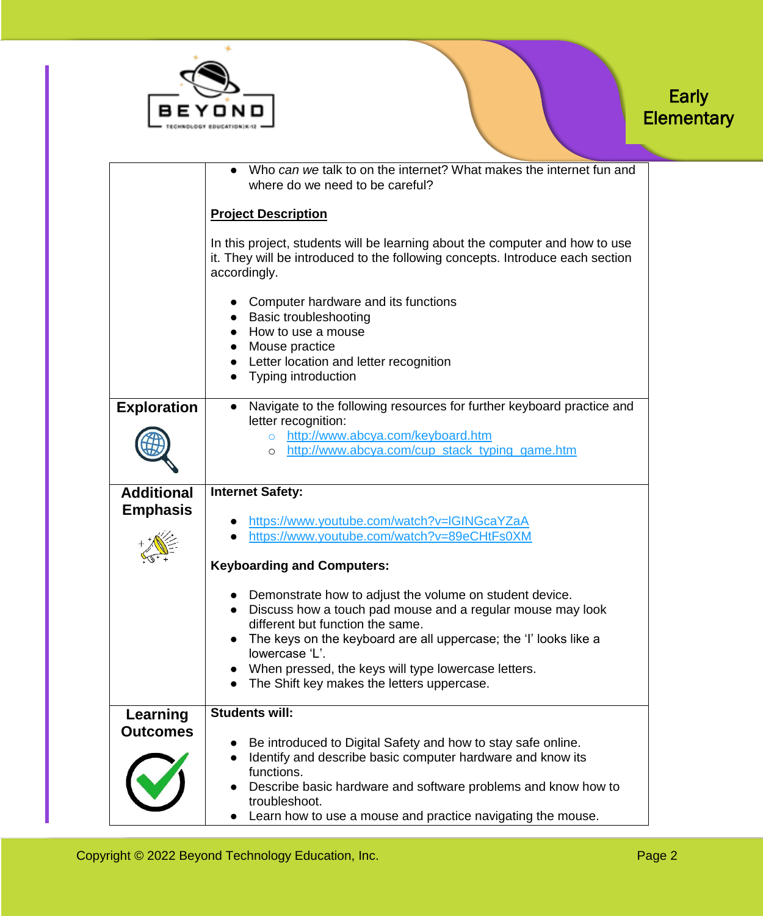

|                    | Who can we talk to on the internet? What makes the internet fun and<br>where do we need to be careful?                                                                                                                                                                                    |
|--------------------|-------------------------------------------------------------------------------------------------------------------------------------------------------------------------------------------------------------------------------------------------------------------------------------------|
|                    | <b>Project Description</b>                                                                                                                                                                                                                                                                |
|                    | In this project, students will be learning about the computer and how to use<br>it. They will be introduced to the following concepts. Introduce each section<br>accordingly.                                                                                                             |
|                    | Computer hardware and its functions<br><b>Basic troubleshooting</b><br>How to use a mouse<br>Mouse practice<br>Letter location and letter recognition<br>Typing introduction                                                                                                              |
| <b>Exploration</b> | Navigate to the following resources for further keyboard practice and<br>$\bullet$<br>letter recognition:                                                                                                                                                                                 |
|                    | http://www.abcya.com/keyboard.htm<br>$\circ$<br>http://www.abcya.com/cup_stack_typing_game.htm<br>$\circ$                                                                                                                                                                                 |
| <b>Additional</b>  | <b>Internet Safety:</b>                                                                                                                                                                                                                                                                   |
| <b>Emphasis</b>    | https://www.youtube.com/watch?v=IGINGcaYZaA                                                                                                                                                                                                                                               |
|                    | https://www.youtube.com/watch?v=89eCHtFs0XM                                                                                                                                                                                                                                               |
|                    | <b>Keyboarding and Computers:</b>                                                                                                                                                                                                                                                         |
|                    | Demonstrate how to adjust the volume on student device.<br>Discuss how a touch pad mouse and a regular mouse may look<br>different but function the same.<br>The keys on the keyboard are all uppercase; the 'I' looks like a                                                             |
|                    | lowercase 'L'.                                                                                                                                                                                                                                                                            |
|                    | When pressed, the keys will type lowercase letters.<br>The Shift key makes the letters uppercase.                                                                                                                                                                                         |
| Learning           | <b>Students will:</b>                                                                                                                                                                                                                                                                     |
| <b>Outcomes</b>    | Be introduced to Digital Safety and how to stay safe online.<br>Identify and describe basic computer hardware and know its<br>functions.<br>Describe basic hardware and software problems and know how to<br>troubleshoot.<br>Learn how to use a mouse and practice navigating the mouse. |
|                    |                                                                                                                                                                                                                                                                                           |

**Early** 

**Elementary**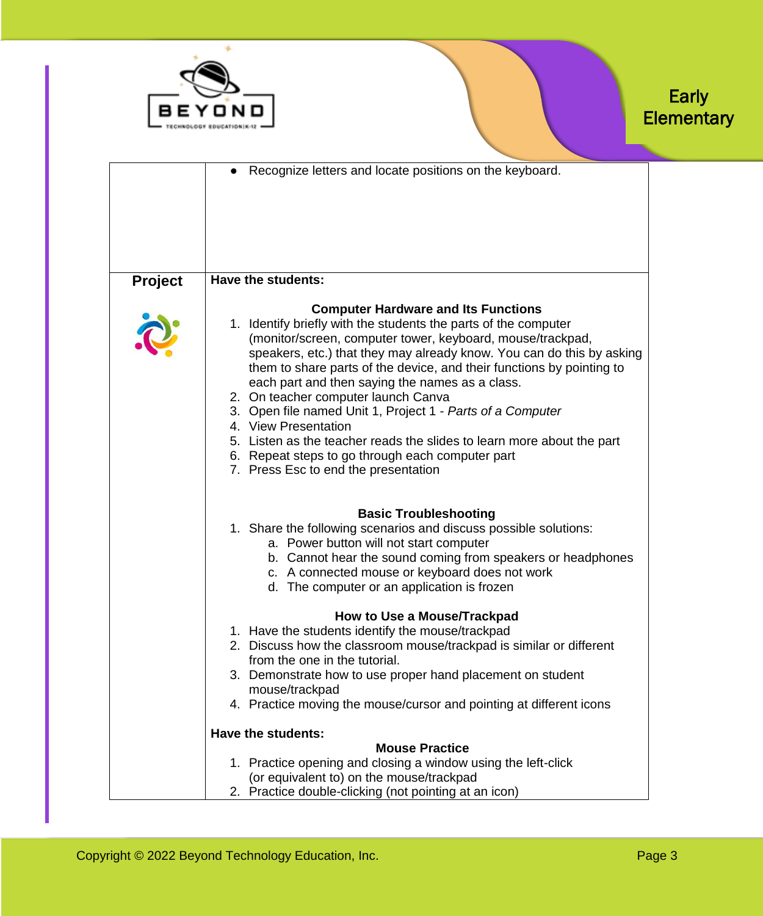

**Early Elementary** 

|                | Recognize letters and locate positions on the keyboard.                                                                                                                                                                                                                                                                                                                                                                                                                                                                                                                                                                                                                             |
|----------------|-------------------------------------------------------------------------------------------------------------------------------------------------------------------------------------------------------------------------------------------------------------------------------------------------------------------------------------------------------------------------------------------------------------------------------------------------------------------------------------------------------------------------------------------------------------------------------------------------------------------------------------------------------------------------------------|
|                |                                                                                                                                                                                                                                                                                                                                                                                                                                                                                                                                                                                                                                                                                     |
|                |                                                                                                                                                                                                                                                                                                                                                                                                                                                                                                                                                                                                                                                                                     |
|                |                                                                                                                                                                                                                                                                                                                                                                                                                                                                                                                                                                                                                                                                                     |
| <b>Project</b> | <b>Have the students:</b>                                                                                                                                                                                                                                                                                                                                                                                                                                                                                                                                                                                                                                                           |
|                |                                                                                                                                                                                                                                                                                                                                                                                                                                                                                                                                                                                                                                                                                     |
|                | <b>Computer Hardware and Its Functions</b><br>1. Identify briefly with the students the parts of the computer<br>(monitor/screen, computer tower, keyboard, mouse/trackpad,<br>speakers, etc.) that they may already know. You can do this by asking<br>them to share parts of the device, and their functions by pointing to<br>each part and then saying the names as a class.<br>2. On teacher computer launch Canva<br>3. Open file named Unit 1, Project 1 - Parts of a Computer<br>4. View Presentation<br>5. Listen as the teacher reads the slides to learn more about the part<br>6. Repeat steps to go through each computer part<br>7. Press Esc to end the presentation |
|                | <b>Basic Troubleshooting</b><br>1. Share the following scenarios and discuss possible solutions:<br>a. Power button will not start computer<br>b. Cannot hear the sound coming from speakers or headphones<br>c. A connected mouse or keyboard does not work<br>d. The computer or an application is frozen                                                                                                                                                                                                                                                                                                                                                                         |
|                | How to Use a Mouse/Trackpad<br>1. Have the students identify the mouse/trackpad<br>2. Discuss how the classroom mouse/trackpad is similar or different<br>from the one in the tutorial.<br>3. Demonstrate how to use proper hand placement on student<br>mouse/trackpad<br>4. Practice moving the mouse/cursor and pointing at different icons                                                                                                                                                                                                                                                                                                                                      |
|                |                                                                                                                                                                                                                                                                                                                                                                                                                                                                                                                                                                                                                                                                                     |
|                | <b>Mouse Practice</b>                                                                                                                                                                                                                                                                                                                                                                                                                                                                                                                                                                                                                                                               |
|                | 1. Practice opening and closing a window using the left-click<br>(or equivalent to) on the mouse/trackpad                                                                                                                                                                                                                                                                                                                                                                                                                                                                                                                                                                           |
|                | <b>Have the students:</b><br>2. Practice double-clicking (not pointing at an icon)                                                                                                                                                                                                                                                                                                                                                                                                                                                                                                                                                                                                  |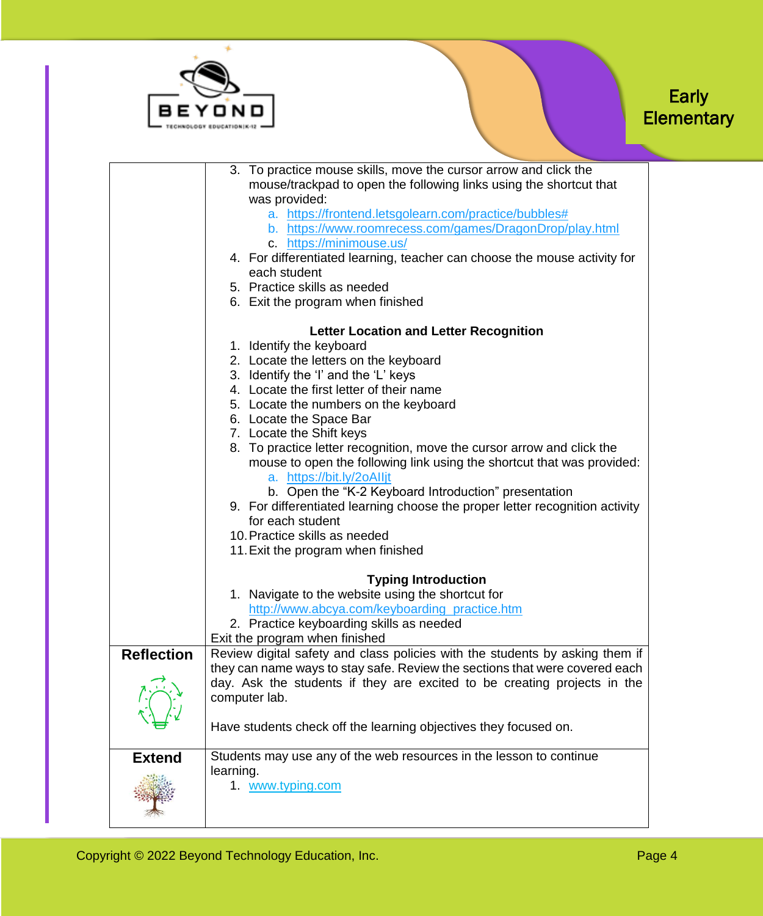



|                   | 3. To practice mouse skills, move the cursor arrow and click the             |
|-------------------|------------------------------------------------------------------------------|
|                   | mouse/trackpad to open the following links using the shortcut that           |
|                   | was provided:                                                                |
|                   | a. https://frontend.letsgolearn.com/practice/bubbles#                        |
|                   | b. https://www.roomrecess.com/games/DragonDrop/play.html                     |
|                   |                                                                              |
|                   | c. https://minimouse.us/                                                     |
|                   | 4. For differentiated learning, teacher can choose the mouse activity for    |
|                   | each student                                                                 |
|                   | 5. Practice skills as needed                                                 |
|                   | 6. Exit the program when finished                                            |
|                   |                                                                              |
|                   | <b>Letter Location and Letter Recognition</b>                                |
|                   | 1. Identify the keyboard                                                     |
|                   | 2. Locate the letters on the keyboard                                        |
|                   | 3. Identify the 'I' and the 'L' keys                                         |
|                   | 4. Locate the first letter of their name                                     |
|                   |                                                                              |
|                   | 5. Locate the numbers on the keyboard                                        |
|                   | 6. Locate the Space Bar                                                      |
|                   | 7. Locate the Shift keys                                                     |
|                   | 8. To practice letter recognition, move the cursor arrow and click the       |
|                   | mouse to open the following link using the shortcut that was provided:       |
|                   | a. https://bit.ly/2oAllit                                                    |
|                   | b. Open the "K-2 Keyboard Introduction" presentation                         |
|                   | 9. For differentiated learning choose the proper letter recognition activity |
|                   | for each student                                                             |
|                   | 10. Practice skills as needed                                                |
|                   |                                                                              |
|                   | 11. Exit the program when finished                                           |
|                   | <b>Typing Introduction</b>                                                   |
|                   | 1. Navigate to the website using the shortcut for                            |
|                   | http://www.abcya.com/keyboarding_practice.htm                                |
|                   |                                                                              |
|                   | 2. Practice keyboarding skills as needed                                     |
|                   | Exit the program when finished                                               |
| <b>Reflection</b> | Review digital safety and class policies with the students by asking them if |
|                   | they can name ways to stay safe. Review the sections that were covered each  |
|                   | day. Ask the students if they are excited to be creating projects in the     |
|                   | computer lab.                                                                |
|                   |                                                                              |
|                   | Have students check off the learning objectives they focused on.             |
|                   |                                                                              |
| <b>Extend</b>     | Students may use any of the web resources in the lesson to continue          |
|                   | learning.                                                                    |
|                   |                                                                              |
|                   | 1. www.typing.com                                                            |
|                   |                                                                              |
|                   |                                                                              |